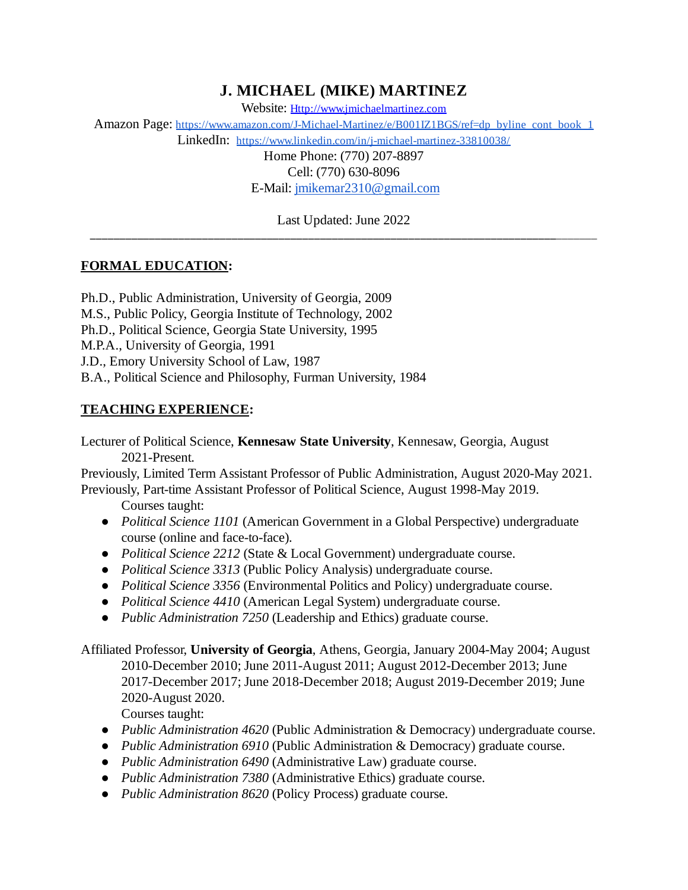# **J. MICHAEL (MIKE) MARTINEZ**

Website: Http://www.jmichaelmartinez.com

Amazon Page: [https://www.amazon.com/J-Michael-Martinez/e/B001IZ1BGS/ref=dp\\_byline\\_cont\\_book\\_1](https://www.amazon.com/J-Michael-Martinez/e/B001IZ1BGS/ref=dp_byline_cont_book_1)

LinkedIn: <https://www.linkedin.com/in/j-michael-martinez-33810038/>

Home Phone: (770) 207-8897 Cell: (770) 630-8096 E-Mail: [jmikemar2310@gmail.com](mailto:jmikemar2310@gmail.com)

Last Updated: June 2022 **\_\_\_\_\_\_\_\_\_\_\_\_\_\_\_\_\_\_\_\_\_\_\_\_\_\_\_\_\_\_\_\_\_\_\_\_\_\_\_\_\_\_\_\_\_\_\_\_\_\_\_\_\_\_\_\_\_\_\_\_\_\_\_\_\_\_\_\_\_\_\_\_\_\_\_\_\_\_\_**\_\_\_\_\_\_\_

### **FORMAL EDUCATION:**

Ph.D., Public Administration, University of Georgia, 2009

M.S., Public Policy, Georgia Institute of Technology, 2002

Ph.D., Political Science, Georgia State University, 1995

M.P.A., University of Georgia, 1991

J.D., Emory University School of Law, 1987

B.A., Political Science and Philosophy, Furman University, 1984

### **TEACHING EXPERIENCE:**

Lecturer of Political Science, **Kennesaw State University**, Kennesaw, Georgia, August 2021-Present.

Previously, Limited Term Assistant Professor of Public Administration, August 2020-May 2021. Previously, Part-time Assistant Professor of Political Science, August 1998-May 2019.

Courses taught:

- *Political Science 1101* (American Government in a Global Perspective) undergraduate course (online and face-to-face).
- *Political Science 2212* (State & Local Government) undergraduate course.
- *Political Science 3313* (Public Policy Analysis) undergraduate course.
- *Political Science 3356* (Environmental Politics and Policy) undergraduate course.
- *Political Science 4410* (American Legal System) undergraduate course.
- *Public Administration 7250* (Leadership and Ethics) graduate course.

Affiliated Professor, **University of Georgia**, Athens, Georgia, January 2004-May 2004; August

2010-December 2010; June 2011-August 2011; August 2012-December 2013; June 2017-December 2017; June 2018-December 2018; August 2019-December 2019; June 2020-August 2020.

Courses taught:

- *Public Administration 4620* (Public Administration & Democracy) undergraduate course.
- *Public Administration 6910* (Public Administration & Democracy) graduate course.
- *Public Administration 6490* (Administrative Law) graduate course.
- *Public Administration 7380* (Administrative Ethics) graduate course.
- *Public Administration 8620* (Policy Process) graduate course.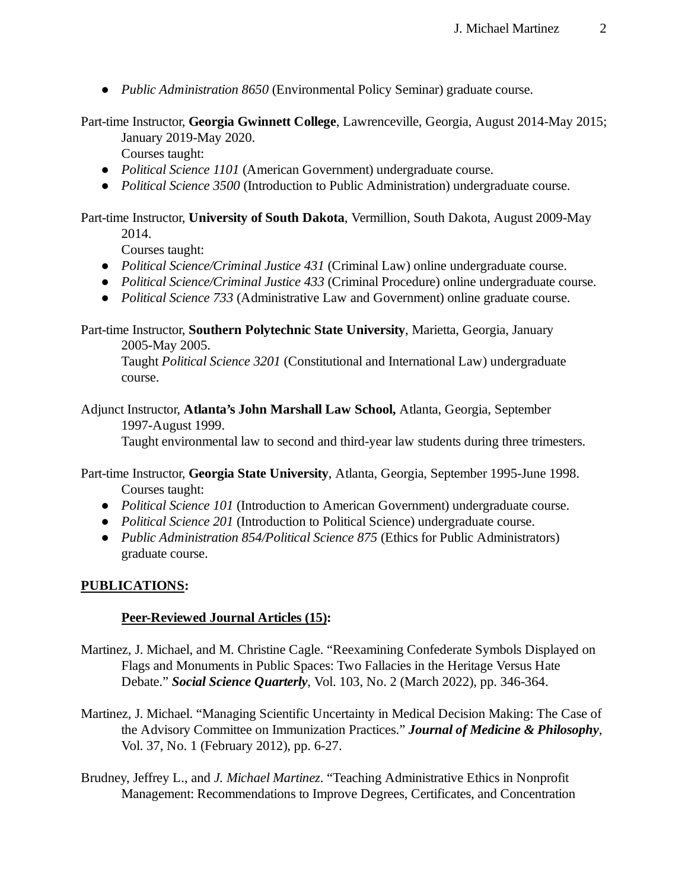● *Public Administration 8650* (Environmental Policy Seminar) graduate course.

Part-time Instructor, **Georgia Gwinnett College**, Lawrenceville, Georgia, August 2014-May 2015;

January 2019-May 2020. Courses taught:

- *Political Science 1101* (American Government) undergraduate course.
- *Political Science 3500* (Introduction to Public Administration) undergraduate course.

### Part-time Instructor, **University of South Dakota**, Vermillion, South Dakota, August 2009-May 2014.

Courses taught:

- *Political Science/Criminal Justice 431* (Criminal Law) online undergraduate course.
- *Political Science/Criminal Justice 433* (Criminal Procedure) online undergraduate course.
- *● Political Science 733* (Administrative Law and Government) online graduate course.

# Part-time Instructor, **Southern Polytechnic State University**, Marietta, Georgia, January

2005-May 2005.

Taught *Political Science 3201* (Constitutional and International Law) undergraduate course.

Adjunct Instructor, **Atlanta's John Marshall Law School,** Atlanta, Georgia, September 1997-August 1999.

Taught environmental law to second and third-year law students during three trimesters.

Part-time Instructor, **Georgia State University**, Atlanta, Georgia, September 1995-June 1998. Courses taught:

- *Political Science 101* (Introduction to American Government) undergraduate course.
- *Political Science 201* (Introduction to Political Science) undergraduate course.
- *Public Administration 854/Political Science 875* (Ethics for Public Administrators) graduate course.

## **PUBLICATIONS:**

## **Peer-Reviewed Journal Articles (15):**

- Martinez, J. Michael, and M. Christine Cagle. "Reexamining Confederate Symbols Displayed on Flags and Monuments in Public Spaces: Two Fallacies in the Heritage Versus Hate Debate." *Social Science Quarterly*, Vol. 103, No. 2 (March 2022), pp. 346-364.
- Martinez, J. Michael. "Managing Scientific Uncertainty in Medical Decision Making: The Case of the Advisory Committee on Immunization Practices." *Journal of Medicine & Philosophy*, Vol. 37, No. 1 (February 2012), pp. 6-27.
- Brudney, Jeffrey L., and *J. Michael Martinez*. "Teaching Administrative Ethics in Nonprofit Management: Recommendations to Improve Degrees, Certificates, and Concentration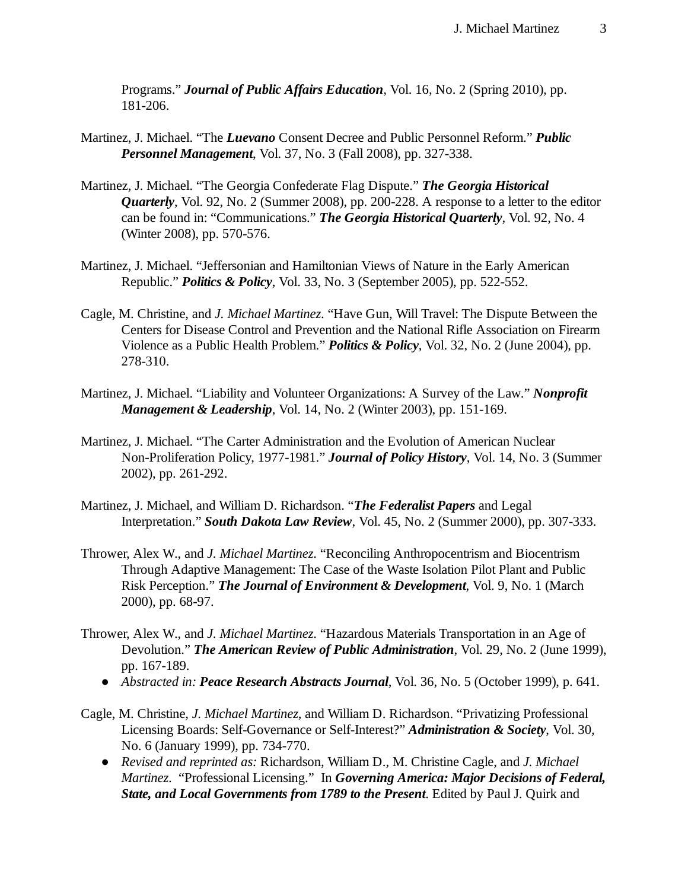Programs." *Journal of Public Affairs Education*, Vol. 16, No. 2 (Spring 2010), pp. 181-206.

- Martinez, J. Michael. "The *Luevano* Consent Decree and Public Personnel Reform." *Public Personnel Management*, Vol. 37, No. 3 (Fall 2008), pp. 327-338.
- Martinez, J. Michael. "The Georgia Confederate Flag Dispute." *The Georgia Historical Quarterly*, Vol. 92, No. 2 (Summer 2008), pp. 200-228. A response to a letter to the editor can be found in: "Communications." *The Georgia Historical Quarterly*, Vol. 92, No. 4 (Winter 2008), pp. 570-576.
- Martinez, J. Michael. "Jeffersonian and Hamiltonian Views of Nature in the Early American Republic." *Politics & Policy*, Vol. 33, No. 3 (September 2005), pp. 522-552.
- Cagle, M. Christine, and *J. Michael Martinez*. "Have Gun, Will Travel: The Dispute Between the Centers for Disease Control and Prevention and the National Rifle Association on Firearm Violence as a Public Health Problem." *Politics & Policy*, Vol. 32, No. 2 (June 2004), pp. 278-310.
- Martinez, J. Michael. "Liability and Volunteer Organizations: A Survey of the Law." *Nonprofit Management & Leadership*, Vol. 14, No. 2 (Winter 2003), pp. 151-169.
- Martinez, J. Michael. "The Carter Administration and the Evolution of American Nuclear Non-Proliferation Policy, 1977-1981." *Journal of Policy History*, Vol. 14, No. 3 (Summer 2002), pp. 261-292.
- Martinez, J. Michael, and William D. Richardson. "*The Federalist Papers* and Legal Interpretation." *South Dakota Law Review*, Vol. 45, No. 2 (Summer 2000), pp. 307-333.
- Thrower, Alex W., and *J. Michael Martinez*. "Reconciling Anthropocentrism and Biocentrism Through Adaptive Management: The Case of the Waste Isolation Pilot Plant and Public Risk Perception." *The Journal of Environment & Development*, Vol. 9, No. 1 (March 2000), pp. 68-97.
- Thrower, Alex W., and *J. Michael Martinez*. "Hazardous Materials Transportation in an Age of Devolution." *The American Review of Public Administration*, Vol. 29, No. 2 (June 1999), pp. 167-189.
	- *Abstracted in: Peace Research Abstracts Journal*, Vol. 36, No. 5 (October 1999), p. 641.
- Cagle, M. Christine, *J. Michael Martinez*, and William D. Richardson. "Privatizing Professional Licensing Boards: Self-Governance or Self-Interest?" *Administration & Society*, Vol. 30, No. 6 (January 1999), pp. 734-770.
	- *Revised and reprinted as:* Richardson, William D., M. Christine Cagle, and *J. Michael Martinez*. "Professional Licensing." In *Governing America: Major Decisions of Federal, State, and Local Governments from 1789 to the Present*. Edited by Paul J. Quirk and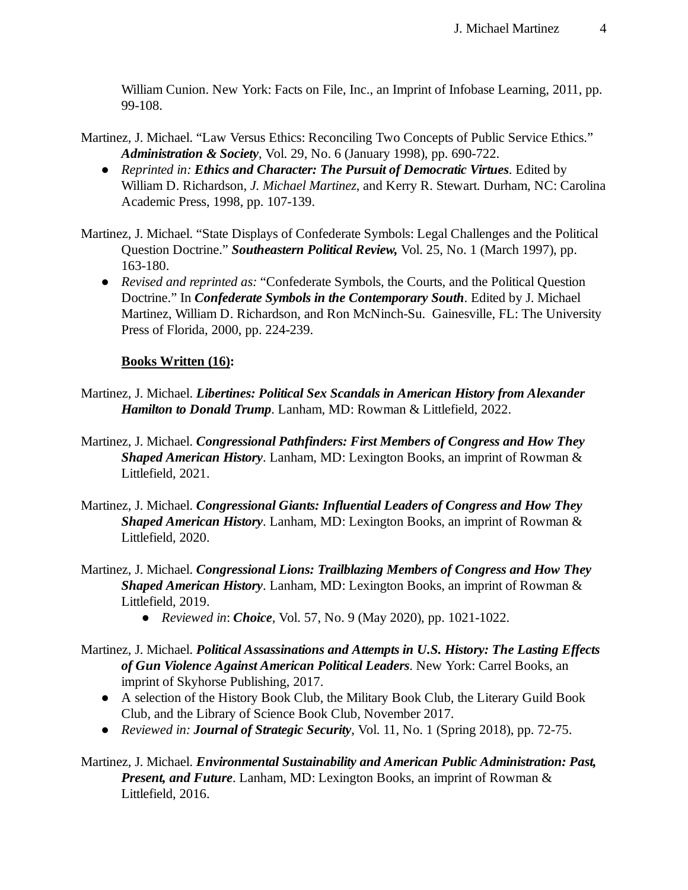William Cunion. New York: Facts on File, Inc., an Imprint of Infobase Learning, 2011, pp. 99-108.

- Martinez, J. Michael. "Law Versus Ethics: Reconciling Two Concepts of Public Service Ethics." *Administration & Society*, Vol. 29, No. 6 (January 1998), pp. 690-722.
	- *Reprinted in: Ethics and Character: The Pursuit of Democratic Virtues*. Edited by William D. Richardson, *J. Michael Martinez*, and Kerry R. Stewart. Durham, NC: Carolina Academic Press, 1998, pp. 107-139.
- Martinez, J. Michael. "State Displays of Confederate Symbols: Legal Challenges and the Political Question Doctrine." *Southeastern Political Review,* Vol. 25, No. 1 (March 1997), pp. 163-180.
	- *Revised and reprinted as:* "Confederate Symbols, the Courts, and the Political Question Doctrine." In *Confederate Symbols in the Contemporary South*. Edited by J. Michael Martinez, William D. Richardson, and Ron McNinch-Su. Gainesville, FL: The University Press of Florida, 2000, pp. 224-239.

## **Books Written (16):**

- Martinez, J. Michael. *Libertines: Political Sex Scandals in American History from Alexander Hamilton to Donald Trump*. Lanham, MD: Rowman & Littlefield, 2022.
- Martinez, J. Michael. *Congressional Pathfinders: First Members of Congress and How They Shaped American History*. Lanham, MD: Lexington Books, an imprint of Rowman & Littlefield, 2021.
- Martinez, J. Michael. *Congressional Giants: Influential Leaders of Congress and How They Shaped American History*. Lanham, MD: Lexington Books, an imprint of Rowman & Littlefield, 2020.
- Martinez, J. Michael. *Congressional Lions: Trailblazing Members of Congress and How They Shaped American History*. Lanham, MD: Lexington Books, an imprint of Rowman & Littlefield, 2019.
	- *Reviewed in*: *Choice*, Vol. 57, No. 9 (May 2020), pp. 1021-1022.
- Martinez, J. Michael. *Political Assassinations and Attempts in U.S. History: The Lasting Effects of Gun Violence Against American Political Leaders*. New York: Carrel Books, an imprint of Skyhorse Publishing, 2017.
	- A selection of the History Book Club, the Military Book Club, the Literary Guild Book Club, and the Library of Science Book Club, November 2017.
	- *Reviewed in: Journal of Strategic Security*, Vol. 11, No. 1 (Spring 2018), pp. 72-75.
- Martinez, J. Michael. *Environmental Sustainability and American Public Administration: Past, Present, and Future*. Lanham, MD: Lexington Books, an imprint of Rowman & Littlefield, 2016.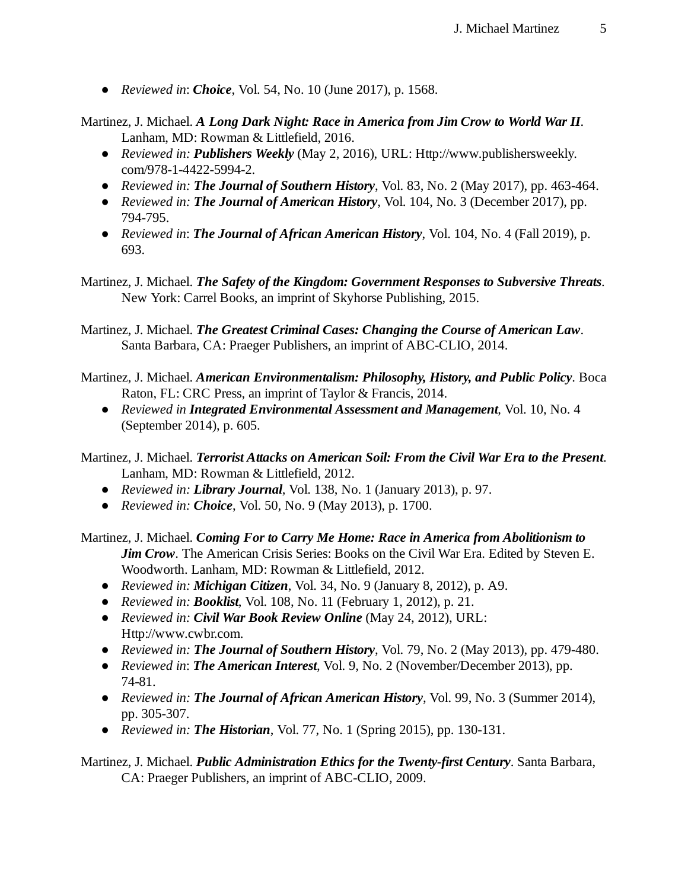● *Reviewed in*: *Choice*, Vol. 54, No. 10 (June 2017), p. 1568.

Martinez, J. Michael. *A Long Dark Night: Race in America from Jim Crow to World War II*. Lanham, MD: Rowman & Littlefield, 2016.

- *Reviewed in: Publishers Weekly* (May 2, 2016), URL: Http://www.publishersweekly. com/978-1-4422-5994-2.
- *Reviewed in: The Journal of Southern History*, Vol. 83, No. 2 (May 2017), pp. 463-464.
- *Reviewed in: The Journal of American History*, Vol. 104, No. 3 (December 2017), pp. 794-795.
- *Reviewed in*: *The Journal of African American History*, Vol. 104, No. 4 (Fall 2019), p. 693.
- Martinez, J. Michael. *The Safety of the Kingdom: Government Responses to Subversive Threats*. New York: Carrel Books, an imprint of Skyhorse Publishing, 2015.

Martinez, J. Michael. *The Greatest Criminal Cases: Changing the Course of American Law*. Santa Barbara, CA: Praeger Publishers, an imprint of ABC-CLIO, 2014.

Martinez, J. Michael. *American Environmentalism: Philosophy, History, and Public Policy*. Boca Raton, FL: CRC Press, an imprint of Taylor & Francis, 2014.

● *Reviewed in Integrated Environmental Assessment and Management*, Vol. 10, No. 4 (September 2014), p. 605.

Martinez, J. Michael. *Terrorist Attacks on American Soil: From the Civil War Era to the Present*. Lanham, MD: Rowman & Littlefield, 2012.

- *Reviewed in: Library Journal*, Vol. 138, No. 1 (January 2013), p. 97.
- *Reviewed in: Choice*, Vol. 50, No. 9 (May 2013), p. 1700.

Martinez, J. Michael. *Coming For to Carry Me Home: Race in America from Abolitionism to Jim Crow*. The American Crisis Series: Books on the Civil War Era. Edited by Steven E. Woodworth. Lanham, MD: Rowman & Littlefield, 2012.

- *Reviewed in: Michigan Citizen*, Vol. 34, No. 9 (January 8, 2012), p. A9.
- *Reviewed in: Booklist*, Vol. 108, No. 11 (February 1, 2012), p. 21.
- *Reviewed in: Civil War Book Review Online* (May 24, 2012), URL: Http://www.cwbr.com.
- *Reviewed in: The Journal of Southern History*, Vol. 79, No. 2 (May 2013), pp. 479-480.
- *Reviewed in*: *The American Interest*, Vol. 9, No. 2 (November/December 2013), pp. 74-81.
- *Reviewed in: The Journal of African American History*, Vol. 99, No. 3 (Summer 2014), pp. 305-307.
- *Reviewed in: The Historian*, Vol. 77, No. 1 (Spring 2015), pp. 130-131.

Martinez, J. Michael. *Public Administration Ethics for the Twenty-first Century*. Santa Barbara, CA: Praeger Publishers, an imprint of ABC-CLIO, 2009.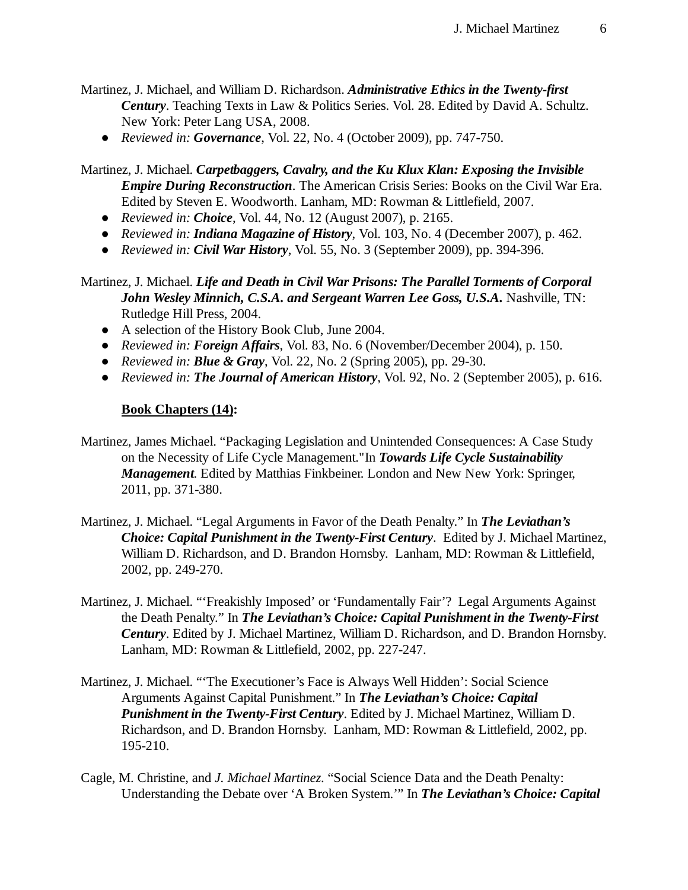Martinez, J. Michael, and William D. Richardson. *Administrative Ethics in the Twenty-first Century*. Teaching Texts in Law & Politics Series. Vol. 28. Edited by David A. Schultz. New York: Peter Lang USA, 2008.

● *Reviewed in: Governance*, Vol. 22, No. 4 (October 2009), pp. 747-750.

Martinez, J. Michael. *Carpetbaggers, Cavalry, and the Ku Klux Klan: Exposing the Invisible Empire During Reconstruction*. The American Crisis Series: Books on the Civil War Era. Edited by Steven E. Woodworth. Lanham, MD: Rowman & Littlefield, 2007.

- *Reviewed in: Choice*, Vol. 44, No. 12 (August 2007), p. 2165.
- *Reviewed in: Indiana Magazine of History*, Vol. 103, No. 4 (December 2007), p. 462.
- *Reviewed in: Civil War History*, Vol. 55, No. 3 (September 2009), pp. 394-396.
- Martinez, J. Michael. *Life and Death in Civil War Prisons: The Parallel Torments of Corporal John Wesley Minnich, C.S.A. and Sergeant Warren Lee Goss, U.S.A.* Nashville, TN: Rutledge Hill Press, 2004.
	- A selection of the History Book Club, June 2004.
	- *Reviewed in: Foreign Affairs*, Vol. 83, No. 6 (November/December 2004), p. 150.
	- *Reviewed in: Blue & Gray*, Vol. 22, No. 2 (Spring 2005), pp. 29-30.
	- *Reviewed in: The Journal of American History*, Vol. 92, No. 2 (September 2005), p. 616.

### **Book Chapters (14):**

Martinez, James Michael. "Packaging Legislation and Unintended Consequences: A Case Study on the Necessity of Life Cycle Management."In *Towards Life Cycle Sustainability Management*. Edited by Matthias Finkbeiner. London and New New York: Springer, 2011, pp. 371-380.

- Martinez, J. Michael. "Legal Arguments in Favor of the Death Penalty." In *The Leviathan's Choice: Capital Punishment in the Twenty-First Century*. Edited by J. Michael Martinez, William D. Richardson, and D. Brandon Hornsby. Lanham, MD: Rowman & Littlefield, 2002, pp. 249-270.
- Martinez, J. Michael. "'Freakishly Imposed' or 'Fundamentally Fair'? Legal Arguments Against the Death Penalty." In *The Leviathan's Choice: Capital Punishment in the Twenty-First Century*. Edited by J. Michael Martinez, William D. Richardson, and D. Brandon Hornsby. Lanham, MD: Rowman & Littlefield, 2002, pp. 227-247.
- Martinez, J. Michael. "'The Executioner's Face is Always Well Hidden': Social Science Arguments Against Capital Punishment." In *The Leviathan's Choice: Capital Punishment in the Twenty-First Century*. Edited by J. Michael Martinez, William D. Richardson, and D. Brandon Hornsby. Lanham, MD: Rowman & Littlefield, 2002, pp. 195-210.
- Cagle, M. Christine, and *J. Michael Martinez*. "Social Science Data and the Death Penalty: Understanding the Debate over 'A Broken System.'" In *The Leviathan's Choice: Capital*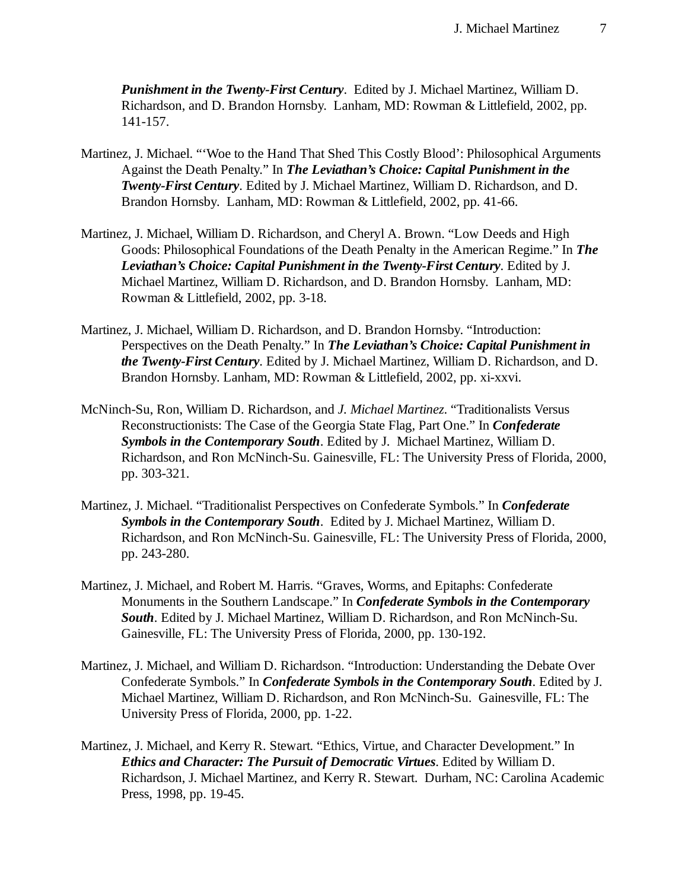*Punishment in the Twenty-First Century*. Edited by J. Michael Martinez, William D. Richardson, and D. Brandon Hornsby. Lanham, MD: Rowman & Littlefield, 2002, pp. 141-157.

- Martinez, J. Michael. "'Woe to the Hand That Shed This Costly Blood': Philosophical Arguments Against the Death Penalty." In *The Leviathan's Choice: Capital Punishment in the Twenty-First Century*. Edited by J. Michael Martinez, William D. Richardson, and D. Brandon Hornsby. Lanham, MD: Rowman & Littlefield, 2002, pp. 41-66.
- Martinez, J. Michael, William D. Richardson, and Cheryl A. Brown. "Low Deeds and High Goods: Philosophical Foundations of the Death Penalty in the American Regime." In *The Leviathan's Choice: Capital Punishment in the Twenty-First Century*. Edited by J. Michael Martinez, William D. Richardson, and D. Brandon Hornsby. Lanham, MD: Rowman & Littlefield, 2002, pp. 3-18.
- Martinez, J. Michael, William D. Richardson, and D. Brandon Hornsby. "Introduction: Perspectives on the Death Penalty." In *The Leviathan's Choice: Capital Punishment in the Twenty-First Century*. Edited by J. Michael Martinez, William D. Richardson, and D. Brandon Hornsby. Lanham, MD: Rowman & Littlefield, 2002, pp. xi-xxvi.
- McNinch-Su, Ron, William D. Richardson, and *J. Michael Martinez*. "Traditionalists Versus Reconstructionists: The Case of the Georgia State Flag, Part One." In *Confederate Symbols in the Contemporary South*. Edited by J. Michael Martinez, William D. Richardson, and Ron McNinch-Su. Gainesville, FL: The University Press of Florida, 2000, pp. 303-321.
- Martinez, J. Michael. "Traditionalist Perspectives on Confederate Symbols." In *Confederate Symbols in the Contemporary South*. Edited by J. Michael Martinez, William D. Richardson, and Ron McNinch-Su. Gainesville, FL: The University Press of Florida, 2000, pp. 243-280.
- Martinez, J. Michael, and Robert M. Harris. "Graves, Worms, and Epitaphs: Confederate Monuments in the Southern Landscape." In *Confederate Symbols in the Contemporary South*. Edited by J. Michael Martinez, William D. Richardson, and Ron McNinch-Su. Gainesville, FL: The University Press of Florida, 2000, pp. 130-192.
- Martinez, J. Michael, and William D. Richardson. "Introduction: Understanding the Debate Over Confederate Symbols." In *Confederate Symbols in the Contemporary South*. Edited by J. Michael Martinez, William D. Richardson, and Ron McNinch-Su. Gainesville, FL: The University Press of Florida, 2000, pp. 1-22.
- Martinez, J. Michael, and Kerry R. Stewart. "Ethics, Virtue, and Character Development." In *Ethics and Character: The Pursuit of Democratic Virtues*. Edited by William D. Richardson, J. Michael Martinez, and Kerry R. Stewart. Durham, NC: Carolina Academic Press, 1998, pp. 19-45.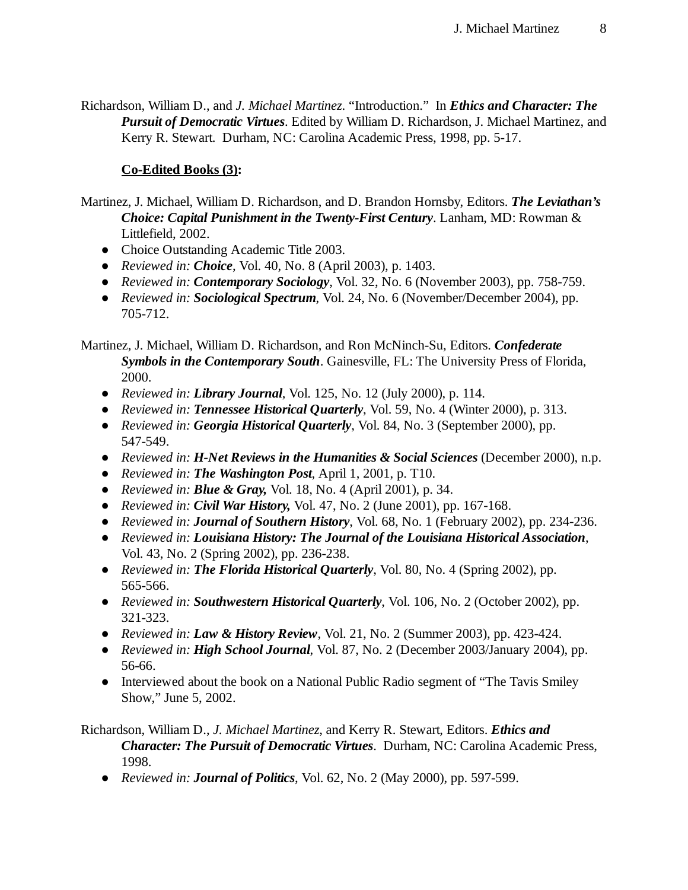Richardson, William D., and *J. Michael Martinez*. "Introduction." In *Ethics and Character: The Pursuit of Democratic Virtues*. Edited by William D. Richardson, J. Michael Martinez, and Kerry R. Stewart. Durham, NC: Carolina Academic Press, 1998, pp. 5-17.

### **Co-Edited Books (3):**

Martinez, J. Michael, William D. Richardson, and D. Brandon Hornsby, Editors. *The Leviathan's Choice: Capital Punishment in the Twenty-First Century*. Lanham, MD: Rowman & Littlefield, 2002.

- Choice Outstanding Academic Title 2003.
- *Reviewed in: Choice*, Vol. 40, No. 8 (April 2003), p. 1403.
- *Reviewed in: Contemporary Sociology*, Vol. 32, No. 6 (November 2003), pp. 758-759.
- *Reviewed in: Sociological Spectrum*, Vol. 24, No. 6 (November/December 2004), pp. 705-712.

Martinez, J. Michael, William D. Richardson, and Ron McNinch-Su, Editors. *Confederate Symbols in the Contemporary South*. Gainesville, FL: The University Press of Florida, 2000.

- *Reviewed in: Library Journal*, Vol. 125, No. 12 (July 2000), p. 114.
- *Reviewed in: Tennessee Historical Quarterly*, Vol. 59, No. 4 (Winter 2000), p. 313.
- *Reviewed in: Georgia Historical Quarterly*, Vol. 84, No. 3 (September 2000), pp. 547-549.
- *Reviewed in: H-Net Reviews in the Humanities & Social Sciences* (December 2000), n.p.
- *Reviewed in: The Washington Post*, April 1, 2001, p. T10.
- *Reviewed in: Blue & Gray,* Vol. 18, No. 4 (April 2001), p. 34.
- *Reviewed in: Civil War History,* Vol. 47, No. 2 (June 2001), pp. 167-168.
- *Reviewed in: Journal of Southern History*, Vol. 68, No. 1 (February 2002), pp. 234-236.
- *Reviewed in: Louisiana History: The Journal of the Louisiana Historical Association*, Vol. 43, No. 2 (Spring 2002), pp. 236-238.
- *Reviewed in: The Florida Historical Quarterly*, Vol. 80, No. 4 (Spring 2002), pp. 565-566.
- *Reviewed in: Southwestern Historical Quarterly*, Vol. 106, No. 2 (October 2002), pp. 321-323.
- *Reviewed in: Law & History Review*, Vol. 21, No. 2 (Summer 2003), pp. 423-424.
- *Reviewed in: High School Journal*, Vol. 87, No. 2 (December 2003/January 2004), pp. 56-66.
- Interviewed about the book on a National Public Radio segment of "The Tavis Smiley Show," June 5, 2002.

Richardson, William D., *J. Michael Martinez*, and Kerry R. Stewart, Editors. *Ethics and Character: The Pursuit of Democratic Virtues*. Durham, NC: Carolina Academic Press, 1998.

● *Reviewed in: Journal of Politics*, Vol. 62, No. 2 (May 2000), pp. 597-599.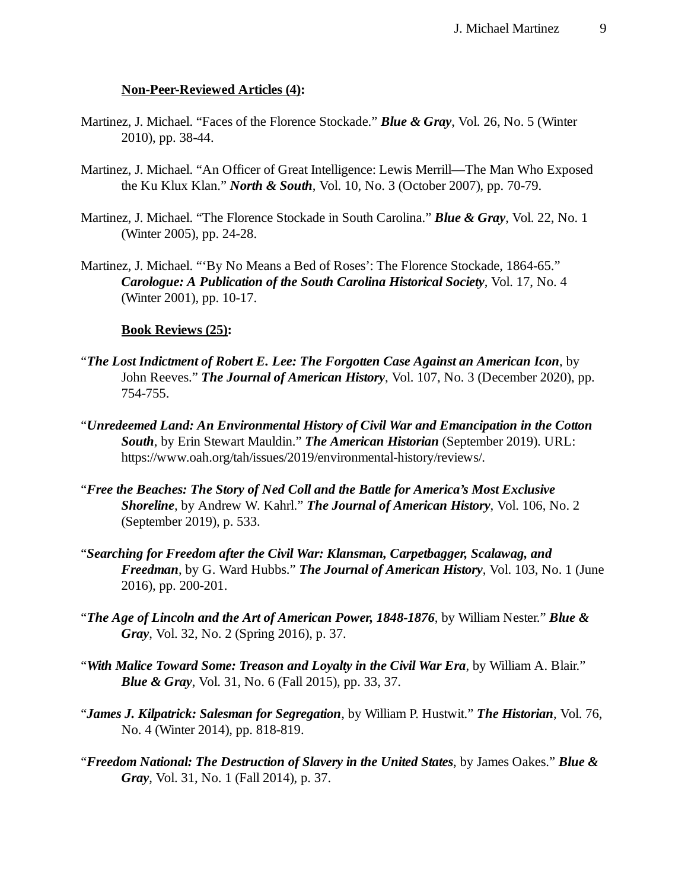#### **Non-Peer-Reviewed Articles (4):**

- Martinez, J. Michael. "Faces of the Florence Stockade." *Blue & Gray*, Vol. 26, No. 5 (Winter 2010), pp. 38-44.
- Martinez, J. Michael. "An Officer of Great Intelligence: Lewis Merrill—The Man Who Exposed the Ku Klux Klan." *North & South*, Vol. 10, No. 3 (October 2007), pp. 70-79.
- Martinez, J. Michael. "The Florence Stockade in South Carolina." *Blue & Gray*, Vol. 22, No. 1 (Winter 2005), pp. 24-28.
- Martinez, J. Michael. "'By No Means a Bed of Roses': The Florence Stockade, 1864-65." *Carologue: A Publication of the South Carolina Historical Society*, Vol. 17, No. 4 (Winter 2001), pp. 10-17.

#### **Book Reviews (25):**

- "*The Lost Indictment of Robert E. Lee: The Forgotten Case Against an American Icon*, by John Reeves." *The Journal of American History*, Vol. 107, No. 3 (December 2020), pp. 754-755.
- "*Unredeemed Land: An Environmental History of Civil War and Emancipation in the Cotton South*, by Erin Stewart Mauldin." *The American Historian* (September 2019). URL: https://www.oah.org/tah/issues/2019/environmental-history/reviews/.
- "*Free the Beaches: The Story of Ned Coll and the Battle for America's Most Exclusive Shoreline*, by Andrew W. Kahrl." *The Journal of American History*, Vol. 106, No. 2 (September 2019), p. 533.
- "*Searching for Freedom after the Civil War: Klansman, Carpetbagger, Scalawag, and Freedman*, by G. Ward Hubbs." *The Journal of American History*, Vol. 103, No. 1 (June 2016), pp. 200-201.
- "*The Age of Lincoln and the Art of American Power, 1848-1876*, by William Nester." *Blue & Gray*, Vol. 32, No. 2 (Spring 2016), p. 37.
- "*With Malice Toward Some: Treason and Loyalty in the Civil War Era*, by William A. Blair." *Blue & Gray*, Vol. 31, No. 6 (Fall 2015), pp. 33, 37.
- "*James J. Kilpatrick: Salesman for Segregation*, by William P. Hustwit." *The Historian*, Vol. 76, No. 4 (Winter 2014), pp. 818-819.
- "*Freedom National: The Destruction of Slavery in the United States*, by James Oakes." *Blue & Gray*, Vol. 31, No. 1 (Fall 2014), p. 37.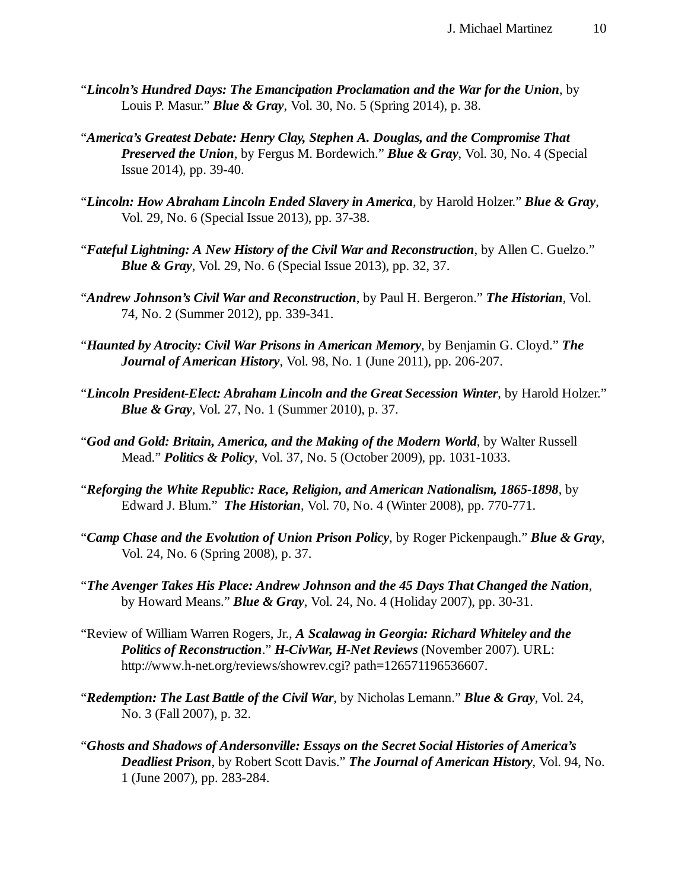- "*Lincoln's Hundred Days: The Emancipation Proclamation and the War for the Union*, by Louis P. Masur." *Blue & Gray*, Vol. 30, No. 5 (Spring 2014), p. 38.
- "*America's Greatest Debate: Henry Clay, Stephen A. Douglas, and the Compromise That Preserved the Union*, by Fergus M. Bordewich." *Blue & Gray*, Vol. 30, No. 4 (Special Issue 2014), pp. 39-40.
- "*Lincoln: How Abraham Lincoln Ended Slavery in America*, by Harold Holzer." *Blue & Gray*, Vol. 29, No. 6 (Special Issue 2013), pp. 37-38.
- "*Fateful Lightning: A New History of the Civil War and Reconstruction*, by Allen C. Guelzo." *Blue & Gray*, Vol. 29, No. 6 (Special Issue 2013), pp. 32, 37.
- "*Andrew Johnson's Civil War and Reconstruction*, by Paul H. Bergeron." *The Historian*, Vol. 74, No. 2 (Summer 2012), pp. 339-341.
- "*Haunted by Atrocity: Civil War Prisons in American Memory*, by Benjamin G. Cloyd." *The Journal of American History*, Vol. 98, No. 1 (June 2011), pp. 206-207.
- "*Lincoln President-Elect: Abraham Lincoln and the Great Secession Winter*, by Harold Holzer." *Blue & Gray*, Vol. 27, No. 1 (Summer 2010), p. 37.
- "*God and Gold: Britain, America, and the Making of the Modern World*, by Walter Russell Mead." *Politics & Policy*, Vol. 37, No. 5 (October 2009), pp. 1031-1033.
- "*Reforging the White Republic: Race, Religion, and American Nationalism, 1865-1898*, by Edward J. Blum." *The Historian*, Vol. 70, No. 4 (Winter 2008), pp. 770-771.
- "*Camp Chase and the Evolution of Union Prison Policy*, by Roger Pickenpaugh." *Blue & Gray*, Vol. 24, No. 6 (Spring 2008), p. 37.
- "*The Avenger Takes His Place: Andrew Johnson and the 45 Days That Changed the Nation*, by Howard Means." *Blue & Gray*, Vol. 24, No. 4 (Holiday 2007), pp. 30-31.
- "Review of William Warren Rogers, Jr., *A Scalawag in Georgia: Richard Whiteley and the Politics of Reconstruction*." *H-CivWar, H-Net Reviews* (November 2007). URL: http://www.h-net.org/reviews/showrev.cgi? path=126571196536607.
- "*Redemption: The Last Battle of the Civil War*, by Nicholas Lemann." *Blue & Gray*, Vol. 24, No. 3 (Fall 2007), p. 32.
- "*Ghosts and Shadows of Andersonville: Essays on the Secret Social Histories of America's Deadliest Prison*, by Robert Scott Davis." *The Journal of American History*, Vol. 94, No. 1 (June 2007), pp. 283-284.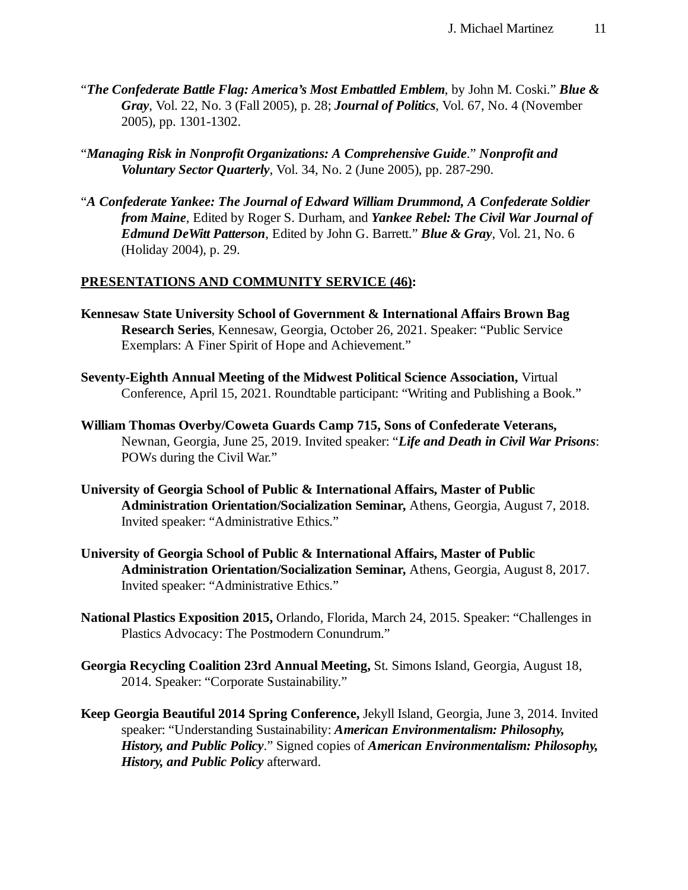- "*The Confederate Battle Flag: America's Most Embattled Emblem*, by John M. Coski." *Blue & Gray*, Vol. 22, No. 3 (Fall 2005), p. 28; *Journal of Politics*, Vol. 67, No. 4 (November 2005), pp. 1301-1302.
- "*Managing Risk in Nonprofit Organizations: A Comprehensive Guide*." *Nonprofit and Voluntary Sector Quarterly*, Vol. 34, No. 2 (June 2005), pp. 287-290.
- "*A Confederate Yankee: The Journal of Edward William Drummond, A Confederate Soldier from Maine*, Edited by Roger S. Durham, and *Yankee Rebel: The Civil War Journal of Edmund DeWitt Patterson*, Edited by John G. Barrett." *Blue & Gray*, Vol. 21, No. 6 (Holiday 2004), p. 29.

### **PRESENTATIONS AND COMMUNITY SERVICE (46):**

- **Kennesaw State University School of Government & International Affairs Brown Bag Research Series**, Kennesaw, Georgia, October 26, 2021. Speaker: "Public Service Exemplars: A Finer Spirit of Hope and Achievement."
- **Seventy-Eighth Annual Meeting of the Midwest Political Science Association,** Virtual Conference, April 15, 2021. Roundtable participant: "Writing and Publishing a Book."
- **William Thomas Overby/Coweta Guards Camp 715, Sons of Confederate Veterans,** Newnan, Georgia, June 25, 2019. Invited speaker: "*Life and Death in Civil War Prisons*: POWs during the Civil War."
- **University of Georgia School of Public & International Affairs, Master of Public Administration Orientation/Socialization Seminar,** Athens, Georgia, August 7, 2018. Invited speaker: "Administrative Ethics."
- **University of Georgia School of Public & International Affairs, Master of Public Administration Orientation/Socialization Seminar,** Athens, Georgia, August 8, 2017. Invited speaker: "Administrative Ethics."
- **National Plastics Exposition 2015,** Orlando, Florida, March 24, 2015. Speaker: "Challenges in Plastics Advocacy: The Postmodern Conundrum."
- **Georgia Recycling Coalition 23rd Annual Meeting,** St. Simons Island, Georgia, August 18, 2014. Speaker: "Corporate Sustainability."
- **Keep Georgia Beautiful 2014 Spring Conference,** Jekyll Island, Georgia, June 3, 2014. Invited speaker: "Understanding Sustainability: *American Environmentalism: Philosophy, History, and Public Policy*." Signed copies of *American Environmentalism: Philosophy, History, and Public Policy* afterward.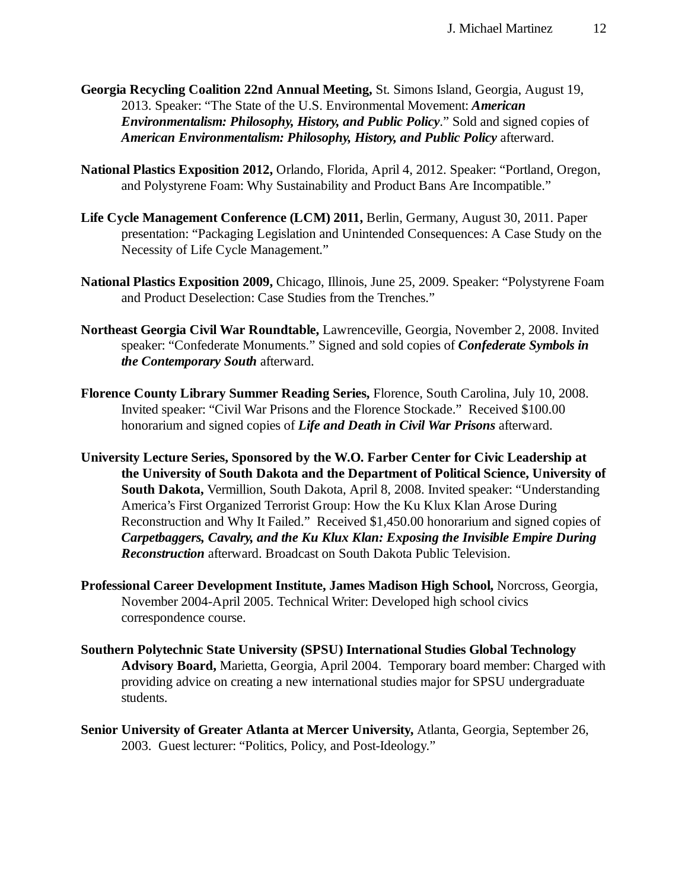- **Georgia Recycling Coalition 22nd Annual Meeting,** St. Simons Island, Georgia, August 19, 2013. Speaker: "The State of the U.S. Environmental Movement: *American Environmentalism: Philosophy, History, and Public Policy*." Sold and signed copies of *American Environmentalism: Philosophy, History, and Public Policy* afterward.
- **National Plastics Exposition 2012,** Orlando, Florida, April 4, 2012. Speaker: "Portland, Oregon, and Polystyrene Foam: Why Sustainability and Product Bans Are Incompatible."
- **Life Cycle Management Conference (LCM) 2011,** Berlin, Germany, August 30, 2011. Paper presentation: "Packaging Legislation and Unintended Consequences: A Case Study on the Necessity of Life Cycle Management."
- **National Plastics Exposition 2009,** Chicago, Illinois, June 25, 2009. Speaker: "Polystyrene Foam and Product Deselection: Case Studies from the Trenches."
- **Northeast Georgia Civil War Roundtable,** Lawrenceville, Georgia, November 2, 2008. Invited speaker: "Confederate Monuments." Signed and sold copies of *Confederate Symbols in the Contemporary South* afterward.
- **Florence County Library Summer Reading Series,** Florence, South Carolina, July 10, 2008. Invited speaker: "Civil War Prisons and the Florence Stockade." Received \$100.00 honorarium and signed copies of *Life and Death in Civil War Prisons* afterward.
- **University Lecture Series, Sponsored by the W.O. Farber Center for Civic Leadership at the University of South Dakota and the Department of Political Science, University of South Dakota,** Vermillion, South Dakota, April 8, 2008. Invited speaker: "Understanding America's First Organized Terrorist Group: How the Ku Klux Klan Arose During Reconstruction and Why It Failed." Received \$1,450.00 honorarium and signed copies of *Carpetbaggers, Cavalry, and the Ku Klux Klan: Exposing the Invisible Empire During Reconstruction* afterward. Broadcast on South Dakota Public Television.
- **Professional Career Development Institute, James Madison High School,** Norcross, Georgia, November 2004-April 2005. Technical Writer: Developed high school civics correspondence course.
- **Southern Polytechnic State University (SPSU) International Studies Global Technology Advisory Board,** Marietta, Georgia, April 2004. Temporary board member: Charged with providing advice on creating a new international studies major for SPSU undergraduate students.
- **Senior University of Greater Atlanta at Mercer University,** Atlanta, Georgia, September 26, 2003. Guest lecturer: "Politics, Policy, and Post-Ideology."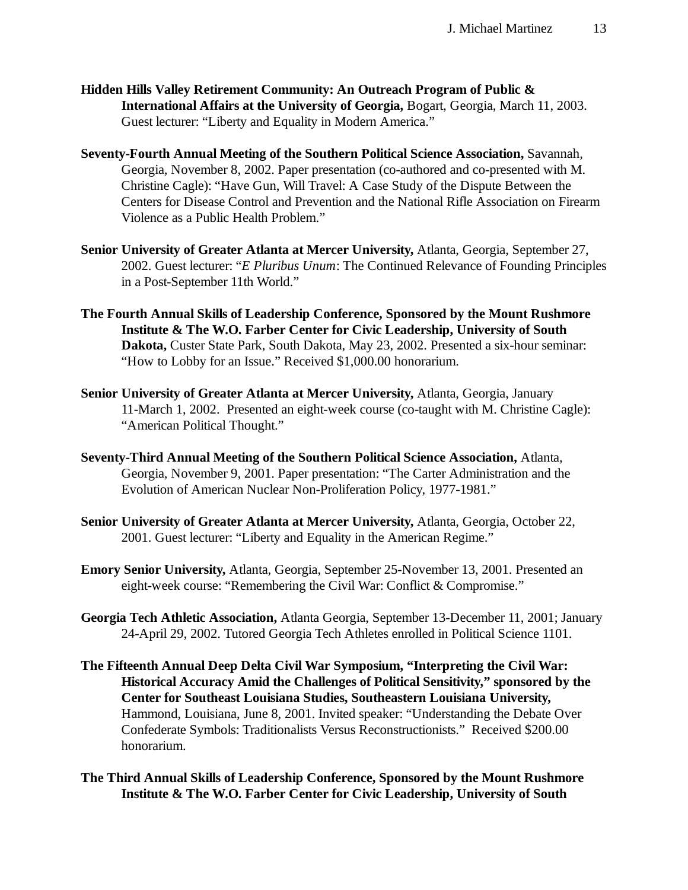- **Hidden Hills Valley Retirement Community: An Outreach Program of Public & International Affairs at the University of Georgia,** Bogart, Georgia, March 11, 2003. Guest lecturer: "Liberty and Equality in Modern America."
- **Seventy-Fourth Annual Meeting of the Southern Political Science Association,** Savannah, Georgia, November 8, 2002. Paper presentation (co-authored and co-presented with M. Christine Cagle): "Have Gun, Will Travel: A Case Study of the Dispute Between the Centers for Disease Control and Prevention and the National Rifle Association on Firearm Violence as a Public Health Problem."
- **Senior University of Greater Atlanta at Mercer University,** Atlanta, Georgia, September 27, 2002. Guest lecturer: "*E Pluribus Unum*: The Continued Relevance of Founding Principles in a Post-September 11th World."
- **The Fourth Annual Skills of Leadership Conference, Sponsored by the Mount Rushmore Institute & The W.O. Farber Center for Civic Leadership, University of South Dakota,** Custer State Park, South Dakota, May 23, 2002. Presented a six-hour seminar: "How to Lobby for an Issue." Received \$1,000.00 honorarium.
- **Senior University of Greater Atlanta at Mercer University,** Atlanta, Georgia, January 11-March 1, 2002. Presented an eight-week course (co-taught with M. Christine Cagle): "American Political Thought."
- **Seventy-Third Annual Meeting of the Southern Political Science Association,** Atlanta, Georgia, November 9, 2001. Paper presentation: "The Carter Administration and the Evolution of American Nuclear Non-Proliferation Policy, 1977-1981."
- **Senior University of Greater Atlanta at Mercer University,** Atlanta, Georgia, October 22, 2001. Guest lecturer: "Liberty and Equality in the American Regime."
- **Emory Senior University,** Atlanta, Georgia, September 25-November 13, 2001. Presented an eight-week course: "Remembering the Civil War: Conflict & Compromise."
- **Georgia Tech Athletic Association,** Atlanta Georgia, September 13-December 11, 2001; January 24-April 29, 2002. Tutored Georgia Tech Athletes enrolled in Political Science 1101.
- **The Fifteenth Annual Deep Delta Civil War Symposium, "Interpreting the Civil War: Historical Accuracy Amid the Challenges of Political Sensitivity," sponsored by the Center for Southeast Louisiana Studies, Southeastern Louisiana University,** Hammond, Louisiana, June 8, 2001. Invited speaker: "Understanding the Debate Over Confederate Symbols: Traditionalists Versus Reconstructionists." Received \$200.00 honorarium.
- **The Third Annual Skills of Leadership Conference, Sponsored by the Mount Rushmore Institute & The W.O. Farber Center for Civic Leadership, University of South**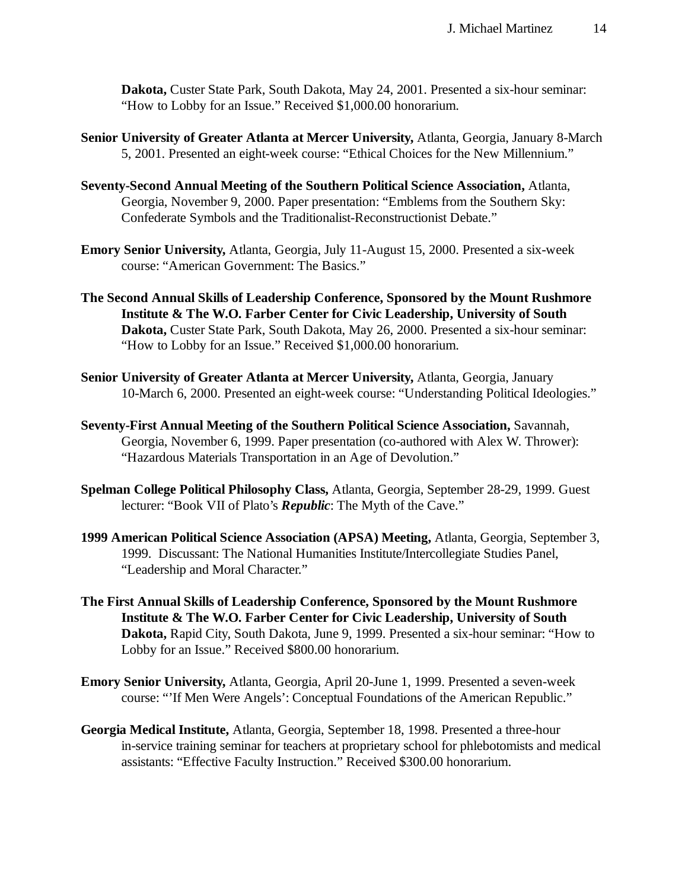**Dakota,** Custer State Park, South Dakota, May 24, 2001. Presented a six-hour seminar: "How to Lobby for an Issue." Received \$1,000.00 honorarium.

- **Senior University of Greater Atlanta at Mercer University,** Atlanta, Georgia, January 8-March 5, 2001. Presented an eight-week course: "Ethical Choices for the New Millennium."
- **Seventy-Second Annual Meeting of the Southern Political Science Association,** Atlanta, Georgia, November 9, 2000. Paper presentation: "Emblems from the Southern Sky: Confederate Symbols and the Traditionalist-Reconstructionist Debate."
- **Emory Senior University,** Atlanta, Georgia, July 11-August 15, 2000. Presented a six-week course: "American Government: The Basics."
- **The Second Annual Skills of Leadership Conference, Sponsored by the Mount Rushmore Institute & The W.O. Farber Center for Civic Leadership, University of South Dakota,** Custer State Park, South Dakota, May 26, 2000. Presented a six-hour seminar: "How to Lobby for an Issue." Received \$1,000.00 honorarium.
- **Senior University of Greater Atlanta at Mercer University,** Atlanta, Georgia, January 10-March 6, 2000. Presented an eight-week course: "Understanding Political Ideologies."
- **Seventy-First Annual Meeting of the Southern Political Science Association,** Savannah, Georgia, November 6, 1999. Paper presentation (co-authored with Alex W. Thrower): "Hazardous Materials Transportation in an Age of Devolution."
- **Spelman College Political Philosophy Class,** Atlanta, Georgia, September 28-29, 1999. Guest lecturer: "Book VII of Plato's *Republic*: The Myth of the Cave."
- **1999 American Political Science Association (APSA) Meeting,** Atlanta, Georgia, September 3, 1999. Discussant: The National Humanities Institute/Intercollegiate Studies Panel, "Leadership and Moral Character."
- **The First Annual Skills of Leadership Conference, Sponsored by the Mount Rushmore Institute & The W.O. Farber Center for Civic Leadership, University of South Dakota,** Rapid City, South Dakota, June 9, 1999. Presented a six-hour seminar: "How to Lobby for an Issue." Received \$800.00 honorarium.
- **Emory Senior University,** Atlanta, Georgia, April 20-June 1, 1999. Presented a seven-week course: "'If Men Were Angels': Conceptual Foundations of the American Republic."
- **Georgia Medical Institute,** Atlanta, Georgia, September 18, 1998. Presented a three-hour in-service training seminar for teachers at proprietary school for phlebotomists and medical assistants: "Effective Faculty Instruction." Received \$300.00 honorarium.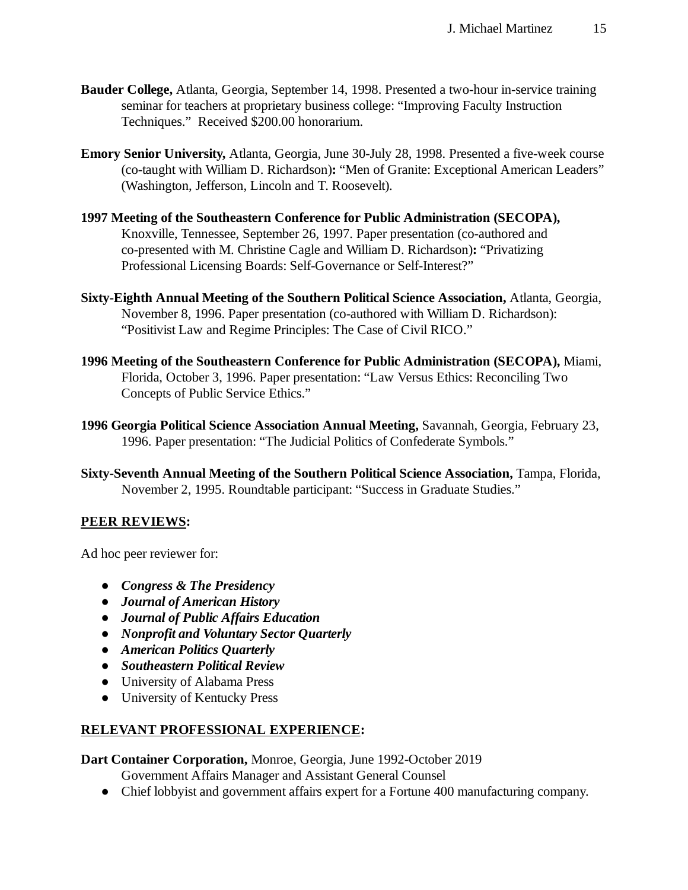- **Bauder College,** Atlanta, Georgia, September 14, 1998. Presented a two-hour in-service training seminar for teachers at proprietary business college: "Improving Faculty Instruction Techniques." Received \$200.00 honorarium.
- **Emory Senior University,** Atlanta, Georgia, June 30-July 28, 1998. Presented a five-week course (co-taught with William D. Richardson)**:** "Men of Granite: Exceptional American Leaders" (Washington, Jefferson, Lincoln and T. Roosevelt).
- **1997 Meeting of the Southeastern Conference for Public Administration (SECOPA),** Knoxville, Tennessee, September 26, 1997. Paper presentation (co-authored and co-presented with M. Christine Cagle and William D. Richardson)**:** "Privatizing Professional Licensing Boards: Self-Governance or Self-Interest?"
- **Sixty-Eighth Annual Meeting of the Southern Political Science Association,** Atlanta, Georgia, November 8, 1996. Paper presentation (co-authored with William D. Richardson): "Positivist Law and Regime Principles: The Case of Civil RICO."
- **1996 Meeting of the Southeastern Conference for Public Administration (SECOPA),** Miami, Florida, October 3, 1996. Paper presentation: "Law Versus Ethics: Reconciling Two Concepts of Public Service Ethics."
- **1996 Georgia Political Science Association Annual Meeting,** Savannah, Georgia, February 23, 1996. Paper presentation: "The Judicial Politics of Confederate Symbols."
- **Sixty-Seventh Annual Meeting of the Southern Political Science Association,** Tampa, Florida, November 2, 1995. Roundtable participant: "Success in Graduate Studies."

## **PEER REVIEWS:**

Ad hoc peer reviewer for:

- *● Congress & The Presidency*
- *● Journal of American History*
- *● Journal of Public Affairs Education*
- *● Nonprofit and Voluntary Sector Quarterly*
- *● American Politics Quarterly*
- *● Southeastern Political Review*
- University of Alabama Press
- University of Kentucky Press

## **RELEVANT PROFESSIONAL EXPERIENCE:**

**Dart Container Corporation,** Monroe, Georgia, June 1992-October 2019

Government Affairs Manager and Assistant General Counsel

● Chief lobbyist and government affairs expert for a Fortune 400 manufacturing company.